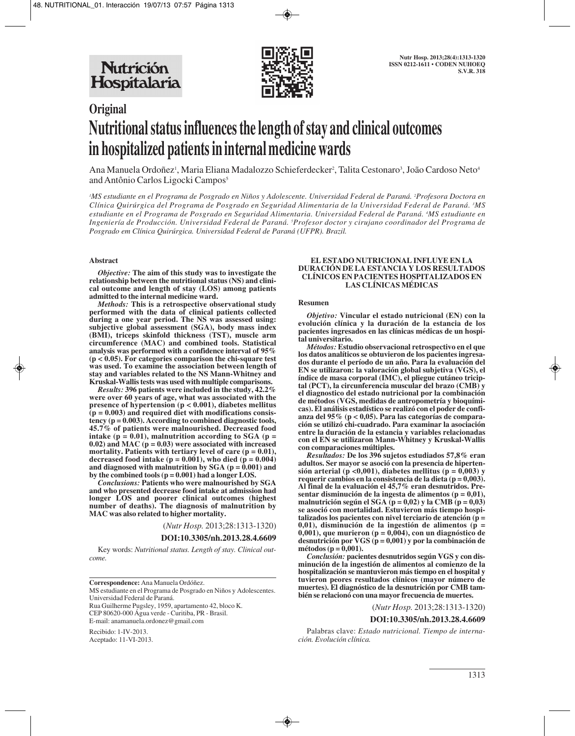

# **Original Nutritional status influences the length of stay and clinical outcomes in hospitalized patients in internal medicine wards**

Ana Manuela Ordoñez<sup>i</sup>, Maria Eliana Madalozzo Schieferdecker<sup>2</sup>, Talita Cestonaro<sup>3</sup>, João Cardoso Neto<sup>4</sup> and Antônio Carlos Ligocki Campos<sup>5</sup>

*1 MS estudiante en el Programa de Posgrado en Niños y Adolescente. Universidad Federal de Paraná. 2 Profesora Doctora en Clínica Quirúrgica del Programa de Posgrado en Seguridad Alimentaria de la Universidad Federal de Paraná. 3 MS estudiante en el Programa de Posgrado en Seguridad Alimentaria. Universidad Federal de Paraná. 4 MS estudiante en Ingeniería de Producción. Universidad Federal de Paraná. 5 Profesor doctor y cirujano coordinador del Programa de Posgrado em Clínica Quirúrgica. Universidad Federal de Paraná (UFPR). Brazil.*

## **Abstract**

*Objective:* **The aim of this study was to investigate the relationship between the nutritional status (NS) and clini cal outcome and length of stay (LOS) among patients admitted to the internal medicine ward.** 

*Methods:* **This is a retrospective observational study performed with the data of clinical patients collected during a one year period. The NS was assessed using: subjective global assessment (SGA), body mass index (BMI), triceps skinfold thickness (TST), muscle arm circumference (MAC) and combined tools. Statistical analysis was performed with a confidence interval of 95% (p < 0.05). For categories comparison the chi-square test was used. To examine the association between length of stay and variables related to the NS Mann-Whitney and Kruskal-Wallis tests was used with multiple comparisons.** 

*Results:* **396 patients were included in the study, 42.2% were over 60 years of age, what was associated with the presence of hypertension (p < 0.001), diabetes mellitus (p = 0.003) and required diet with modifications consistency (p = 0.003). According to combined diagnostic tools, 45.7% of patients were malnourished. Decreased food intake (p = 0.01), malnutrition according to SGA (p = 0.02) and MAC (p = 0.03) were associated with increased mortality. Patients with tertiary level of care (p = 0.01),** decreased food intake  $(p = 0.001)$ , who died  $(p = 0.004)$ **and diagnosed with malnutrition by SGA (p = 0.001) and by the combined tools (p = 0.001) had a longer LOS.**

*Conclusions:* **Patients who were malnourished by SGA and who presented decrease food intake at admission had longer LOS and poorer clinical outcomes (highest number of deaths). The diagnosis of malnutrition by MAC was also related to higher mortality.**

(*Nutr Hosp.* 2013;28:1313-1320)

## **DOI:10.3305/nh.2013.28.4.6609**

Key words: *Nutritional status. Length of stay. Clinical outcome.*

**Correspondence:** Ana Manuela Ordóñez. MS estudiante en el Programa de Posgrado en Niños y Adolescentes. Universidad Federal de Paraná. Rua Guilherme Pugsley, 1959, apartamento 42, bloco K. CEP 80620-000 Água verde - Curitiba, PR - Brasil. E-mail: anamanuela.ordonez@gmail.com

Recibido: 1-IV-2013. Aceptado: 11-VI-2013.

#### **EL ESTADO NUTRICIONAL INFLUYE EN LA DURACIÓN DE LA ESTANCIA Y LOS RESULTADOS CLÍNICOS EN PACIENTES HOSPITALIZADOS EN LAS CLÍNICAS MÉDICAS**

#### **Resumen**

*Objetivo:* **Vincular el estado nutricional (EN) con la evolución clínica y la duración de la estancia de los pacientes ingresados en las clínicas médicas de un hospital universitario.** 

*Métodos:* **Estudio observacional retrospectivo en el que los datos analíticos se obtuvieron de los pacientes ingresados durante el período de un año. Para la evaluación del EN se utilizaron: la valoración global subjetiva (VGS), el índice de masa corporal (IMC), el pliegue cutáneo triciptal (PCT), la circunferencia muscular del brazo (CMB) y el diagnostico del estado nutricional por la combinación de métodos (VGS, medidas de antropometría y bioquímicas). El análisis estadístico se realizó con el poder de confianza del 95% (p < 0,05). Para las categorías de comparación se utilizó chi-cuadrado. Para examinar la asociación entre la duración de la estancia y variables relacionadas con el EN se utilizaron Mann-Whitney y Kruskal-Wallis con comparaciones múltiples.** 

*Resultados:* **De los 396 sujetos estudiados 57,8% eran adultos. Ser mayor se asoció con la presencia de hipertensión arterial (p <0,001), diabetes mellitus (p = 0,003) y requerir cambios en la consistencia de la dieta (p = 0,003). Al final de la evaluación el 45,7% eran desnutridos. Presentar disminución de la ingesta de alimentos (p = 0,01), malnutrición según el SGA (p = 0,02) y la CMB (p = 0,03) se asoció con mortalidad. Estuvieron más tiempo hospitalizados los pacientes con nivel terciario de atención (p = 0,01), disminución de la ingestión de alimentos (p = 0,001), que murieron (p = 0,004), con un diagnóstico de desnutrición por VGS (p = 0,001) y por la combinación de métodos (p = 0,001).** 

*Conclusión:* **pacientes desnutridos según VGS y con disminución de la ingestión de alimentos al comienzo de la hospitalización se mantuvieron más tiempo en el hospital y tuvieron peores resultados clínicos (mayor número de muertes). El diagnóstico de la desnutrición por CMB también se relacionó con una mayor frecuencia de muertes.**

(*Nutr Hosp.* 2013;28:1313-1320)

#### **DOI:10.3305/nh.2013.28.4.6609**

Palabras clave: *Estado nutricional. Tiempo de internación. Evolución clínica.*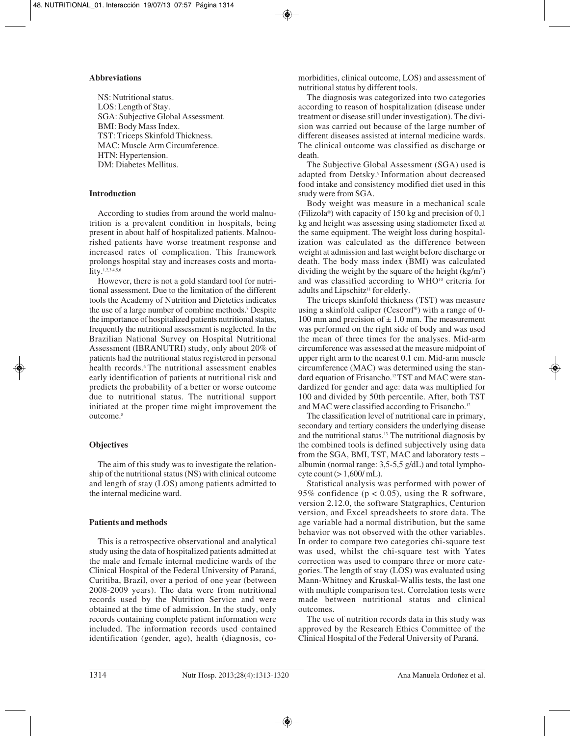# **Abbreviations**

NS: Nutritional status. LOS: Length of Stay. SGA: Subjective Global Assessment. BMI: Body Mass Index. TST: Triceps Skinfold Thickness. MAC: Muscle Arm Circumference. HTN: Hypertension. DM: Diabetes Mellitus.

# **Introduction**

According to studies from around the world malnutrition is a prevalent condition in hospitals, being present in about half of hospitalized patients. Malnourished patients have worse treatment response and increased rates of complication. This framework prolongs hospital stay and increases costs and mortality.1,2,3,4,5,6

However, there is not a gold standard tool for nutritional assessment. Due to the limitation of the different tools the Academy of Nutrition and Dietetics indicates the use of a large number of combine methods.7 Despite the importance of hospitalized patients nutritional status, frequently the nutritional assessment is neglected. In the Brazilian National Survey on Hospital Nutritional Assessment (IBRANUTRI) study, only about 20% of patients had the nutritional status registered in personal health records.<sup>6</sup> The nutritional assessment enables early identification of patients at nutritional risk and predicts the probability of a better or worse outcome due to nutritional status. The nutritional support initiated at the proper time might improvement the outcome.<sup>8</sup>

# **Objectives**

The aim of this study was to investigate the relationship of the nutritional status (NS) with clinical outcome and length of stay (LOS) among patients admitted to the internal medicine ward.

# **Patients and methods**

This is a retrospective observational and analytical study using the data of hospitalized patients admitted at the male and female internal medicine wards of the Clinical Hospital of the Federal University of Paraná, Curitiba, Brazil, over a period of one year (between 2008-2009 years). The data were from nutritional records used by the Nutrition Service and were obtained at the time of admission. In the study, only records containing complete patient information were included. The information records used contained identification (gender, age), health (diagnosis, comorbidities, clinical outcome, LOS) and assessment of nutritional status by different tools.

The diagnosis was categorized into two categories according to reason of hospitalization (disease under treatment or disease still under investigation). The division was carried out because of the large number of different diseases assisted at internal medicine wards. The clinical outcome was classified as discharge or death.

The Subjective Global Assessment (SGA) used is adapted from Detsky.9 Information about decreased food intake and consistency modified diet used in this study were from SGA.

Body weight was measure in a mechanical scale (Filizola®) with capacity of 150 kg and precision of 0,1 kg and height was assessing using stadiometer fixed at the same equipment. The weight loss during hospitalization was calculated as the difference between weight at admission and last weight before discharge or death. The body mass index (BMI) was calculated dividing the weight by the square of the height  $(kg/m^2)$ and was classified according to WHO<sup>10</sup> criteria for adults and Lipschitz<sup>11</sup> for elderly.

The triceps skinfold thickness (TST) was measure using a skinfold caliper (Cescorf®) with a range of 0- 100 mm and precision of  $\pm$  1.0 mm. The measurement was performed on the right side of body and was used the mean of three times for the analyses. Mid-arm circumference was assessed at the measure midpoint of upper right arm to the nearest 0.1 cm. Mid-arm muscle circumference (MAC) was determined using the standard equation of Frisancho.12 TST and MAC were standardized for gender and age: data was multiplied for 100 and divided by 50th percentile. After, both TST and MAC were classified according to Frisancho.12

The classification level of nutritional care in primary, secondary and tertiary considers the underlying disease and the nutritional status.13 The nutritional diagnosis by the combined tools is defined subjectively using data from the SGA, BMI, TST, MAC and laboratory tests – albumin (normal range: 3,5-5,5 g/dL) and total lymphocyte count  $(> 1,600/\text{mL})$ .

Statistical analysis was performed with power of 95% confidence ( $p < 0.05$ ), using the R software, version 2.12.0, the software Statgraphics, Centurion version, and Excel spreadsheets to store data. The age variable had a normal distribution, but the same behavior was not observed with the other variables. In order to compare two categories chi-square test was used, whilst the chi-square test with Yates correction was used to compare three or more categories. The length of stay (LOS) was evaluated using Mann-Whitney and Kruskal-Wallis tests, the last one with multiple comparison test. Correlation tests were made between nutritional status and clinical outcomes.

The use of nutrition records data in this study was approved by the Research Ethics Committee of the Clinical Hospital of the Federal University of Paraná.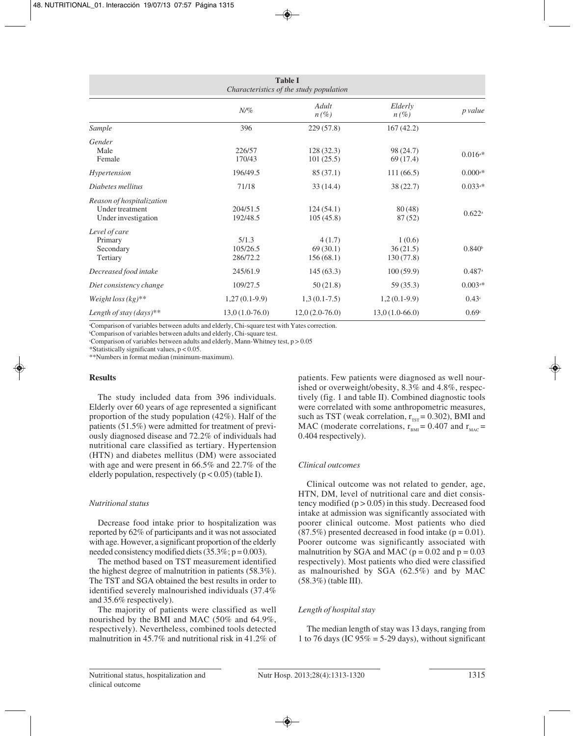| <b>Table I</b><br>Characteristics of the study population                  |                               |                                 |                                 |                       |
|----------------------------------------------------------------------------|-------------------------------|---------------------------------|---------------------------------|-----------------------|
|                                                                            | $N$ /%                        | Adult<br>$n(\%)$                | Elderly<br>$n(\%)$              | p value               |
| Sample                                                                     | 396                           | 229(57.8)                       | 167(42.2)                       |                       |
| Gender<br>Male<br>Female                                                   | 226/57<br>170/43              | 128(32.3)<br>101(25.5)          | 98 (24.7)<br>69(17.4)           | $0.016$ <sup>a*</sup> |
| Hypertension                                                               | 196/49.5                      | 85(37.1)                        | 111(66.5)                       | $0.000$ <sup>a*</sup> |
| Diabetes mellitus                                                          | 71/18                         | 33(14.4)                        | 38(22.7)                        | $0.033a*$             |
| Reason of hospitalization<br><b>Under treatment</b><br>Under investigation | 204/51.5<br>192/48.5          | 124(54.1)<br>105(45.8)          | 80(48)<br>87(52)                | $0.622$ <sup>a</sup>  |
| Level of care<br>Primary<br>Secondary<br>Tertiary                          | 5/1.3<br>105/26.5<br>286/72.2 | 4(1.7)<br>69(30.1)<br>156(68.1) | 1(0.6)<br>36(21.5)<br>130(77.8) | 0.840 <sup>b</sup>    |
| Decreased food intake                                                      | 245/61.9                      | 145(63.3)                       | 100(59.9)                       | $0.487$ <sup>a</sup>  |
| Diet consistency change                                                    | 109/27.5                      | 50(21.8)                        | 59(35.3)                        | $0.003$ <sup>a*</sup> |
| Weight loss $(kg)^{**}$                                                    | $1,27(0.1-9.9)$               | $1,3(0.1-7.5)$                  | $1,2(0.1-9.9)$                  | 0.43 <sup>c</sup>     |
| Length of stay $(days)**$                                                  | $13,0(1.0-76.0)$              | $12,0(2.0-76.0)$                | $13,0(1.0-66.0)$                | 0.69 <sup>c</sup>     |

a Comparison of variables between adults and elderly, Chi-square test with Yates correction.

b Comparison of variables between adults and elderly, Chi-square test.

c Comparison of variables between adults and elderly, Mann-Whitney test, p > 0.05

\*Statistically significant values, p < 0.05.

\*\*Numbers in format median (minimum-maximum).

## **Results**

The study included data from 396 individuals. Elderly over 60 years of age represented a significant proportion of the study population (42%). Half of the patients (51.5%) were admitted for treatment of previously diagnosed disease and 72.2% of individuals had nutritional care classified as tertiary. Hypertension (HTN) and diabetes mellitus (DM) were associated with age and were present in 66.5% and 22.7% of the elderly population, respectively  $(p < 0.05)$  (table I).

# *Nutritional status*

Decrease food intake prior to hospitalization was reported by 62% of participants and it was not associated with age. However, a significant proportion of the elderly needed consistency modified diets  $(35.3\%; p = 0.003)$ .

The method based on TST measurement identified the highest degree of malnutrition in patients (58.3%). The TST and SGA obtained the best results in order to identified severely malnourished individuals (37.4% and 35.6% respectively).

The majority of patients were classified as well nourished by the BMI and MAC (50% and 64.9%, respectively). Nevertheless, combined tools detected malnutrition in 45.7% and nutritional risk in 41.2% of patients. Few patients were diagnosed as well nourished or overweight/obesity, 8.3% and 4.8%, respectively (fig. 1 and table II). Combined diagnostic tools were correlated with some anthropometric measures, such as TST (weak correlation,  $r_{\text{rsr}} = 0.302$ ), BMI and MAC (moderate correlations,  $r_{\text{BMI}} = 0.407$  and  $r_{\text{MAC}} =$ 0.404 respectively).

# *Clinical outcomes*

Clinical outcome was not related to gender, age, HTN, DM, level of nutritional care and diet consistency modified  $(p > 0.05)$  in this study. Decreased food intake at admission was significantly associated with poorer clinical outcome. Most patients who died  $(87.5\%)$  presented decreased in food intake ( $p = 0.01$ ). Poorer outcome was significantly associated with malnutrition by SGA and MAC ( $p = 0.02$  and  $p = 0.03$ ) respectively). Most patients who died were classified as malnourished by SGA (62.5%) and by MAC (58.3%) (table III).

# *Length of hospital stay*

The median length of stay was 13 days, ranging from 1 to 76 days (IC  $95\% = 5-29$  days), without significant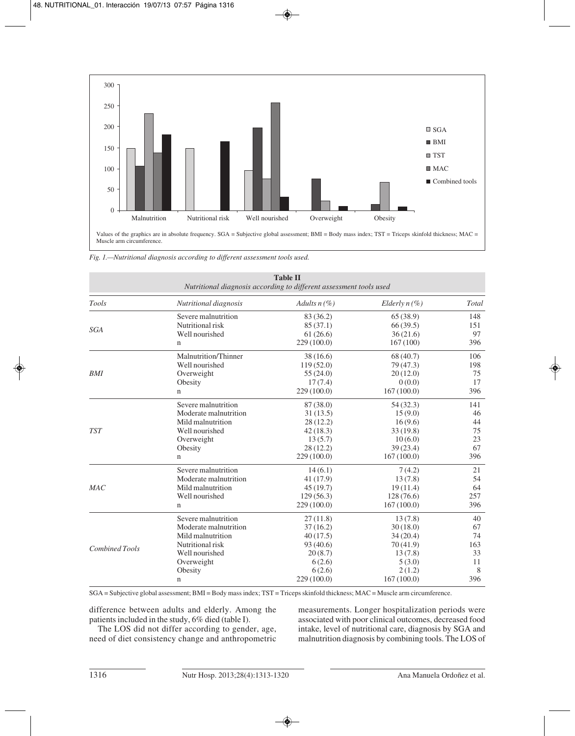

*Fig. 1.—Nutritional diagnosis according to different assessment tools used.*

| Nutritional diagnosis according to different assessment tools used |                           |                |                 |       |
|--------------------------------------------------------------------|---------------------------|----------------|-----------------|-------|
| Tools                                                              | Nutritional diagnosis     | Adults $n(\%)$ | Elderly $n(\%)$ | Total |
|                                                                    | Severe malnutrition       | 83 (36.2)      | 65(38.9)        | 148   |
| SGA                                                                | Nutritional risk          | 85 (37.1)      | 66(39.5)        | 151   |
|                                                                    | Well nourished            | 61(26.6)       | 36(21.6)        | 97    |
|                                                                    | $\mathbf n$               | 229 (100.0)    | 167(100)        | 396   |
|                                                                    | Malnutrition/Thinner      | 38(16.6)       | 68 (40.7)       | 106   |
|                                                                    | Well nourished            | 119(52.0)      | 79 (47.3)       | 198   |
| <b>BMI</b>                                                         | Overweight                | 55(24.0)       | 20(12.0)        | 75    |
|                                                                    | Obesity                   | 17(7.4)        | 0(0.0)          | 17    |
|                                                                    | n                         | 229(100.0)     | 167(100.0)      | 396   |
|                                                                    | Severe malnutrition       | 87 (38.0)      | 54 (32.3)       | 141   |
|                                                                    | Moderate malnutrition     | 31(13.5)       | 15(9.0)         | 46    |
|                                                                    | Mild malnutrition         | 28 (12.2)      | 16(9.6)         | 44    |
| <b>TST</b>                                                         | Well nourished            | 42(18.3)       | 33(19.8)        | 75    |
|                                                                    | Overweight                | 13(5.7)        | 10(6.0)         | 23    |
|                                                                    | Obesity                   | 28(12.2)       | 39(23.4)        | 67    |
|                                                                    | 229(100.0)<br>$\mathbf n$ |                | 167(100.0)      | 396   |
|                                                                    | Severe malnutrition       | 14(6.1)        | 7(4.2)          | 21    |
|                                                                    | Moderate malnutrition     | 41 (17.9)      | 13(7.8)         | 54    |
| MAC                                                                | Mild malnutrition         | 45(19.7)       | 19(11.4)        | 64    |
|                                                                    | Well nourished            | 129(56.3)      | 128 (76.6)      | 257   |
|                                                                    | $\mathbf n$               | 229(100.0)     | 167(100.0)      | 396   |
|                                                                    | Severe malnutrition       | 27(11.8)       | 13(7.8)         | 40    |
|                                                                    | Moderate malnutrition     | 37(16.2)       | 30(18.0)        | 67    |
|                                                                    | Mild malnutrition         | 40(17.5)       | 34(20.4)        | 74    |
| <b>Combined Tools</b>                                              | Nutritional risk          | 93(40.6)       | 70(41.9)        | 163   |
|                                                                    | Well nourished            | 20(8.7)        | 13(7.8)         | 33    |
|                                                                    | Overweight                | 6(2.6)         | 5(3.0)          | 11    |
|                                                                    | Obesity                   | 6(2.6)         | 2(1.2)          | 8     |
|                                                                    | n                         | 229 (100.0)    | 167(100.0)      | 396   |

**Table II**

SGA = Subjective global assessment; BMI = Body mass index; TST = Triceps skinfold thickness; MAC = Muscle arm circumference.

difference between adults and elderly. Among the patients included in the study, 6% died (table I).

The LOS did not differ according to gender, age, need of diet consistency change and anthropometric measurements. Longer hospitalization periods were associated with poor clinical outcomes, decreased food intake, level of nutritional care, diagnosis by SGA and malnutrition diagnosis by combining tools. The LOS of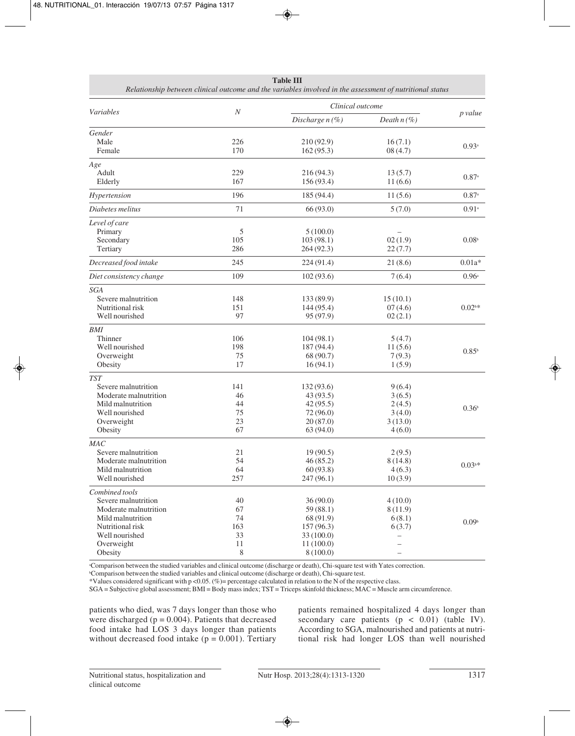| <b>Table III</b><br>Relationship between clinical outcome and the variables involved in the assessment of nutritional status                       |                                        |                                                                                       |                                                              |                     |
|----------------------------------------------------------------------------------------------------------------------------------------------------|----------------------------------------|---------------------------------------------------------------------------------------|--------------------------------------------------------------|---------------------|
| Variables                                                                                                                                          | $\boldsymbol{N}$                       | Clinical outcome                                                                      |                                                              |                     |
|                                                                                                                                                    |                                        | Discharge $n(\%)$                                                                     | Death $n(\%)$                                                | p value             |
| Gender<br>Male<br>Female                                                                                                                           | 226<br>170                             | 210 (92.9)<br>162(95.3)                                                               | 16(7.1)<br>08(4.7)                                           | $0.93$ <sup>a</sup> |
| Age<br>Adult<br>Elderly                                                                                                                            | 229<br>167                             | 216(94.3)<br>156 (93.4)                                                               | 13(5.7)<br>11(6.6)                                           | $0.87^{\circ}$      |
| Hypertension                                                                                                                                       | 196                                    | 185 (94.4)                                                                            | 11(5.6)                                                      | $0.87^{\circ}$      |
| Diabetes melitus                                                                                                                                   | 71                                     | 66 (93.0)                                                                             | 5(7.0)                                                       | $0.91^{\circ}$      |
| Level of care<br>Primary<br>Secondary<br>Tertiary                                                                                                  | 5<br>105<br>286                        | 5(100.0)<br>103(98.1)<br>264(92.3)                                                    | 02(1.9)<br>22(7.7)                                           | 0.08 <sup>b</sup>   |
| Decreased food intake                                                                                                                              | 245                                    | 224(91.4)                                                                             | 21(8.6)                                                      | $0.01a*$            |
| Diet consistency change                                                                                                                            | 109                                    | 102(93.6)                                                                             | 7(6.4)                                                       | 0.96a               |
| SGA<br>Severe malnutrition<br>Nutritional risk<br>Well nourished                                                                                   | 148<br>151<br>97                       | 133 (89.9)<br>144 (95.4)<br>95 (97.9)                                                 | 15(10.1)<br>07(4.6)<br>02(2.1)                               | $0.02^{\rm b*}$     |
| BMI<br>Thinner<br>Well nourished<br>Overweight<br>Obesity                                                                                          | 106<br>198<br>75<br>17                 | 104(98.1)<br>187 (94.4)<br>68 (90.7)<br>16(94.1)                                      | 5(4.7)<br>11(5.6)<br>7(9.3)<br>1(5.9)                        | $0.85^{\rm b}$      |
| <b>TST</b><br>Severe malnutrition<br>Moderate malnutrition<br>Mild malnutrition<br>Well nourished<br>Overweight<br>Obesity                         | 141<br>46<br>44<br>75<br>23<br>67      | 132(93.6)<br>43 (93.5)<br>42(95.5)<br>72 (96.0)<br>20(87.0)<br>63(94.0)               | 9(6.4)<br>3(6.5)<br>2(4.5)<br>3(4.0)<br>3(13.0)<br>4(6.0)    | 0.36 <sup>b</sup>   |
| MAC<br>Severe malnutrition<br>Moderate malnutrition<br>Mild malnutrition<br>Well nourished                                                         | 21<br>54<br>64<br>257                  | 19(90.5)<br>46(85.2)<br>60(93.8)<br>247(96.1)                                         | 2(9.5)<br>8(14.8)<br>4(6.3)<br>10(3.9)                       | $0.03^{\rm b*}$     |
| Combined tools<br>Severe malnutrition<br>Moderate malnutrition<br>Mild malnutrition<br>Nutritional risk<br>Well nourished<br>Overweight<br>Obesity | 40<br>67<br>74<br>163<br>33<br>11<br>8 | 36(90.0)<br>59(88.1)<br>68 (91.9)<br>157(96.3)<br>33 (100.0)<br>11(100.0)<br>8(100.0) | 4(10.0)<br>8(11.9)<br>6(8.1)<br>6(3.7)<br>—<br>—<br>$\equiv$ | 0.09 <sup>b</sup>   |

a Comparison between the studied variables and clinical outcome (discharge or death), Chi-square test with Yates correction.

b Comparison between the studied variables and clinical outcome (discharge or death), Chi-square test.

\*Values considered significant with p <0.05. (%)= percentage calculated in relation to the N of the respective class.

SGA = Subjective global assessment; BMI = Body mass index; TST = Triceps skinfold thickness; MAC = Muscle arm circumference.

patients who died, was 7 days longer than those who were discharged ( $p = 0.004$ ). Patients that decreased food intake had LOS 3 days longer than patients without decreased food intake  $(p = 0.001)$ . Tertiary patients remained hospitalized 4 days longer than secondary care patients  $(p < 0.01)$  (table IV). According to SGA, malnourished and patients at nutritional risk had longer LOS than well nourished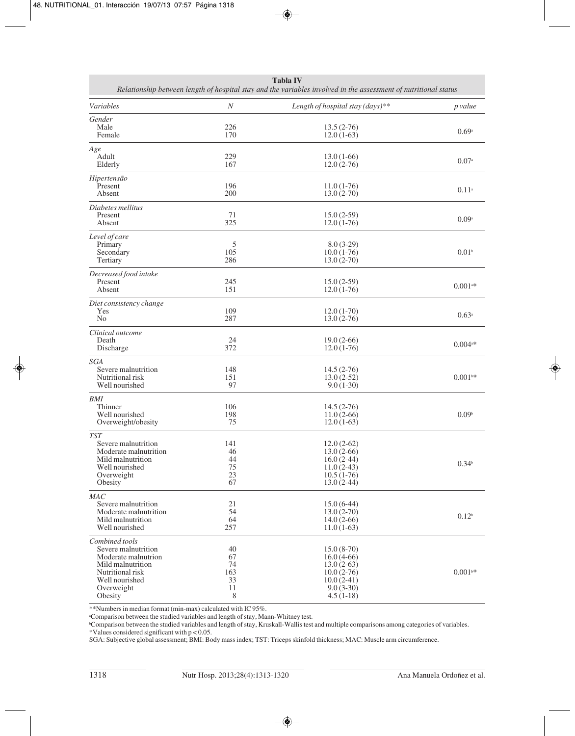| <b>Tabla IV</b><br>Relationship between length of hospital stay and the variables involved in the assessment of nutritional status |            |                                    |                       |  |
|------------------------------------------------------------------------------------------------------------------------------------|------------|------------------------------------|-----------------------|--|
| Variables                                                                                                                          | N          | Length of hospital stay $(days)**$ | p value               |  |
| Gender                                                                                                                             |            |                                    |                       |  |
| Male<br>Female                                                                                                                     | 226<br>170 | $13.5(2-76)$<br>$12.0(1-63)$       | 0.69a                 |  |
| Age                                                                                                                                |            |                                    |                       |  |
| Adult<br>Elderly                                                                                                                   | 229<br>167 | $13.0(1-66)$<br>$12.0(2-76)$       | 0.07a                 |  |
| Hipertensão                                                                                                                        |            |                                    |                       |  |
| Present<br>Absent                                                                                                                  | 196<br>200 | $11.0(1-76)$<br>$13.0(2-70)$       | $0.11^{a}$            |  |
| Diabetes mellitus                                                                                                                  |            |                                    |                       |  |
| Present<br>Absent                                                                                                                  | 71<br>325  | $15.0(2-59)$<br>$12.0(1-76)$       | 0.09a                 |  |
| Level of care                                                                                                                      |            |                                    |                       |  |
| Primary                                                                                                                            | 5          | $8.0(3-29)$                        |                       |  |
| Secondary<br>Tertiary                                                                                                              | 105<br>286 | $10.0(1-76)$<br>$13.0(2-70)$       | 0.01 <sup>b</sup>     |  |
| Decreased food intake                                                                                                              |            |                                    |                       |  |
| Present<br>Absent                                                                                                                  | 245<br>151 | $15.0(2-59)$<br>$12.0(1-76)$       | $0.001$ <sup>a*</sup> |  |
| Diet consistency change                                                                                                            |            |                                    |                       |  |
| Yes<br>N <sub>0</sub>                                                                                                              | 109<br>287 | $12.0(1-70)$<br>$13.0(2-76)$       | 0.63a                 |  |
| Clinical outcome                                                                                                                   |            |                                    |                       |  |
| Death                                                                                                                              | 24         | $19.0(2-66)$                       | $0.004$ <sup>a*</sup> |  |
| Discharge                                                                                                                          | 372        | $12.0(1-76)$                       |                       |  |
| <b>SGA</b><br>Severe malnutrition                                                                                                  | 148        | $14.5(2-76)$                       |                       |  |
| Nutritional risk                                                                                                                   | 151        | $13.0(2-52)$                       | $0.001$ <sup>b*</sup> |  |
| Well nourished                                                                                                                     | 97         | $9.0(1-30)$                        |                       |  |
| BMI<br>Thinner                                                                                                                     | 106        | $14.5(2-76)$                       |                       |  |
| Well nourished                                                                                                                     | 198        | $11.0(2-66)$                       | 0.09 <sup>b</sup>     |  |
| Overweight/obesity                                                                                                                 | 75         | $12.0(1-63)$                       |                       |  |
| <b>TST</b><br>Severe malnutrition                                                                                                  | 141        | $12.0(2-62)$                       |                       |  |
| Moderate malnutrition                                                                                                              | 46         | $13.0(2-66)$                       |                       |  |
| Mild malnutrition<br>Well nourished                                                                                                | 44<br>75   | $16.0(2-44)$<br>$11.0(2-43)$       | 0.34 <sup>b</sup>     |  |
| Overweight                                                                                                                         | 23         | $10.5(1-76)$                       |                       |  |
| Obesity                                                                                                                            | 67         | $13.0(2-44)$                       |                       |  |
| MAC<br>Severe malnutrition                                                                                                         | 21         | $15.0(6-44)$                       |                       |  |
| Moderate malnutrition                                                                                                              | 54         | $13.0(2-70)$                       |                       |  |
| Mild malnutrition                                                                                                                  | 64         | $14.0(2-66)$                       | 0.12 <sup>b</sup>     |  |
| Well nourished                                                                                                                     | 257        | $11.0(1-63)$                       |                       |  |
| Combined tools<br>Severe malnutrition                                                                                              | 40         |                                    |                       |  |
| Moderate malnutrion                                                                                                                | 67         | $15.0(8-70)$<br>$16.0(4-66)$       |                       |  |
| Mild malnutrition                                                                                                                  | 74         | $13.0(2-63)$                       |                       |  |
| Nutritional risk                                                                                                                   | 163        | $10.0(2-76)$                       | $0.001^{b*}$          |  |
| Well nourished<br>Overweight                                                                                                       | 33<br>11   | $10.0(2-41)$<br>$9.0(3-30)$        |                       |  |
| Obesity                                                                                                                            | 8          | $4.5(1-18)$                        |                       |  |

\*\*Numbers in median format (min-max) calculated with IC 95%.

a Comparison between the studied variables and length of stay, Mann-Whitney test. b Comparison between the studied variables and length of stay, Kruskall-Wallis test and multiple comparisons among categories of variables. \*Values considered significant with p < 0.05.

SGA: Subjective global assessment; BMI: Body mass index; TST: Triceps skinfold thickness; MAC: Muscle arm circumference.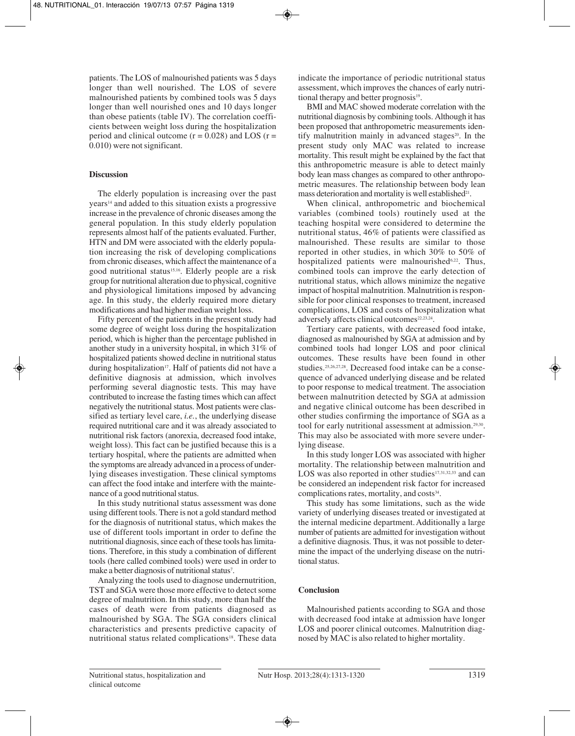patients. The LOS of malnourished patients was 5 days longer than well nourished. The LOS of severe malnourished patients by combined tools was 5 days longer than well nourished ones and 10 days longer than obese patients (table IV). The correlation coefficients between weight loss during the hospitalization period and clinical outcome  $(r = 0.028)$  and LOS  $(r =$ 0.010) were not significant.

# **Discussion**

The elderly population is increasing over the past years14 and added to this situation exists a progressive increase in the prevalence of chronic diseases among the general population. In this study elderly population represents almost half of the patients evaluated. Further, HTN and DM were associated with the elderly population increasing the risk of developing complications from chronic diseases, which affect the maintenance of a good nutritional status<sup>15,16</sup>. Elderly people are a risk group for nutritional alteration due to physical, cognitive and physiological limitations imposed by advancing age. In this study, the elderly required more dietary modifications and had higher median weight loss.

Fifty percent of the patients in the present study had some degree of weight loss during the hospitalization period, which is higher than the percentage published in another study in a university hospital, in which 31% of hospitalized patients showed decline in nutritional status during hospitalization<sup>17</sup>. Half of patients did not have a definitive diagnosis at admission, which involves performing several diagnostic tests. This may have contributed to increase the fasting times which can affect negatively the nutritional status. Most patients were classified as tertiary level care, *i.e.*, the underlying disease required nutritional care and it was already associated to nutritional risk factors (anorexia, decreased food intake, weight loss). This fact can be justified because this is a tertiary hospital, where the patients are admitted when the symptoms are already advanced in a process of underlying diseases investigation. These clinical symptoms can affect the food intake and interfere with the maintenance of a good nutritional status.

In this study nutritional status assessment was done using different tools. There is not a gold standard method for the diagnosis of nutritional status, which makes the use of different tools important in order to define the nutritional diagnosis, since each of these tools has limitations. Therefore, in this study a combination of different tools (here called combined tools) were used in order to make a better diagnosis of nutritional status<sup>7</sup>.

Analyzing the tools used to diagnose undernutrition, TST and SGA were those more effective to detect some degree of malnutrition. In this study, more than half the cases of death were from patients diagnosed as malnourished by SGA. The SGA considers clinical characteristics and presents predictive capacity of nutritional status related complications<sup>18</sup>. These data

indicate the importance of periodic nutritional status assessment, which improves the chances of early nutritional therapy and better prognosis<sup>19</sup>.

BMI and MAC showed moderate correlation with the nutritional diagnosis by combining tools. Although it has been proposed that anthropometric measurements identify malnutrition mainly in advanced stages $20$ . In the present study only MAC was related to increase mortality. This result might be explained by the fact that this anthropometric measure is able to detect mainly body lean mass changes as compared to other anthropometric measures. The relationship between body lean mass deterioration and mortality is well established $21$ .

When clinical, anthropometric and biochemical variables (combined tools) routinely used at the teaching hospital were considered to determine the nutritional status, 46% of patients were classified as malnourished. These results are similar to those reported in other studies, in which 30% to 50% of hospitalized patients were malnourished<sup>6,22</sup>. Thus, combined tools can improve the early detection of nutritional status, which allows minimize the negative impact of hospital malnutrition. Malnutrition is responsible for poor clinical responses to treatment, increased complications, LOS and costs of hospitalization what adversely affects clinical outcomes<sup>22,23,24</sup>.

Tertiary care patients, with decreased food intake, diagnosed as malnourished by SGA at admission and by combined tools had longer LOS and poor clinical outcomes. These results have been found in other studies.25,26,27,28. Decreased food intake can be a consequence of advanced underlying disease and be related to poor response to medical treatment. The association between malnutrition detected by SGA at admission and negative clinical outcome has been described in other studies confirming the importance of SGA as a tool for early nutritional assessment at admission.<sup>29,30</sup>. This may also be associated with more severe underlying disease.

In this study longer LOS was associated with higher mortality. The relationship between malnutrition and LOS was also reported in other studies $17,31,32,33$  and can be considered an independent risk factor for increased complications rates, mortality, and costs<sup>34</sup>.

This study has some limitations, such as the wide variety of underlying diseases treated or investigated at the internal medicine department.Additionally a large number of patients are admitted for investigation without a definitive diagnosis. Thus, it was not possible to determine the impact of the underlying disease on the nutritional status.

# **Conclusion**

Malnourished patients according to SGA and those with decreased food intake at admission have longer LOS and poorer clinical outcomes. Malnutrition diagnosed by MAC is also related to higher mortality.